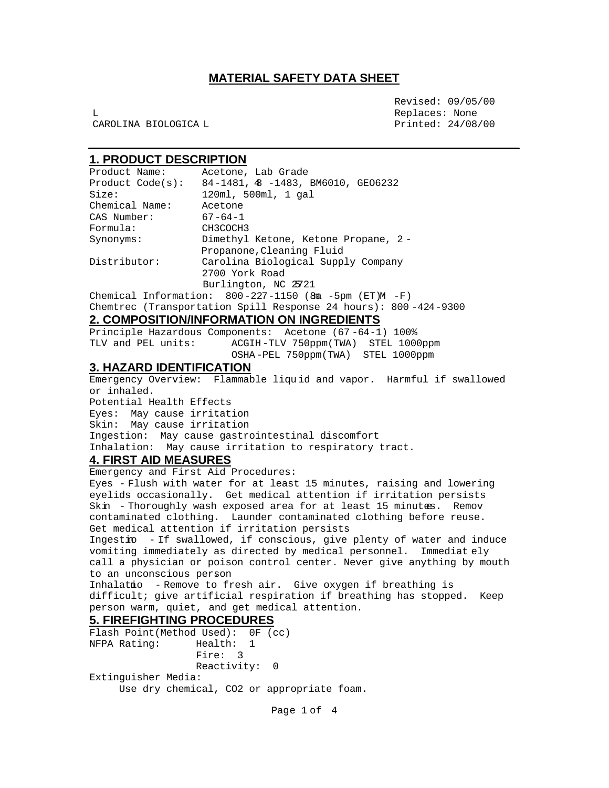L Replaces: None CAROLINA BIOLOGICA L Printed: 24/08/00

Revised: 09/05/00

## **1. PRODUCT DESCRIPTION**

| Product Name:        | Acetone, Lab Grade                                                 |
|----------------------|--------------------------------------------------------------------|
| Product Code(s):     | 84-1481, 48 -1483, BM6010, GEO6232                                 |
| Size:                | 120m1, 500m1, 1 gal                                                |
| Chemical Name:       | Acetone                                                            |
| CAS Number:          | $67 - 64 - 1$                                                      |
| Formula:             | CH3COCH3                                                           |
| Synonyms:            | Dimethyl Ketone, Ketone Propane, 2-                                |
|                      | Propanone, Cleaning Fluid                                          |
| Distributor:         | Carolina Biological Supply Company                                 |
|                      | 2700 York Road                                                     |
| Burlington, NC 25721 |                                                                    |
|                      | Chemical Information: $800 - 227 - 1150$ (8 m $-5$ pm (ET)M $-F$ ) |

Chemtrec (Transportation Spill Response 24 hours): 800 -424-9300

## **2. COMPOSITION/INFORMATION ON INGREDIENTS**

Principle Hazardous Components: Acetone (67 -64-1) 100% TLV and PEL units: ACGIH-TLV 750ppm(TWA) STEL 1000ppm OSHA-PEL 750ppm(TWA) STEL 1000ppm

### **3. HAZARD IDENTIFICATION**

Emergency Overview: Flammable liqu id and vapor. Harmful if swallowed or inhaled.

Potential Health Effects :

Eyes: May cause irritation . Skin: May cause irritation Ingestion: May cause gastrointestinal discomfort . Inhalation: May cause irritation to respiratory tract.

# **4. FIRST AID MEASURES**

Emergency and First Aid Procedures:

Eyes - Flush with water for at least 15 minutes, raising and lowering eyelids occasionally. Get medical attention if irritation persists . Skin - Thoroughly wash exposed area for at least 15 minutes. Remov contaminated clothing. Launder contaminated clothing before reuse. Get medical attention if irritation persists

Ingestion - If swallowed, if conscious, give plenty of water and induce vomiting immediately as directed by medical personnel. Immediat ely call a physician or poison control center. Never give anything by mouth to an unconscious person .

Inhalatio - Remove to fresh air. Give oxygen if breathing is difficult; give artificial respiration if breathing has stopped. Keep person warm, quiet, and get medical attention.

#### **5. FIREFIGHTING PROCEDURES**

Flash Point(Method Used): 0F (cc) NFPA Rating: Health: 1 Fire: 3 Reactivity: 0 Extinguisher Media: Use dry chemical, CO2 or appropriate foam.

Page 1 of 4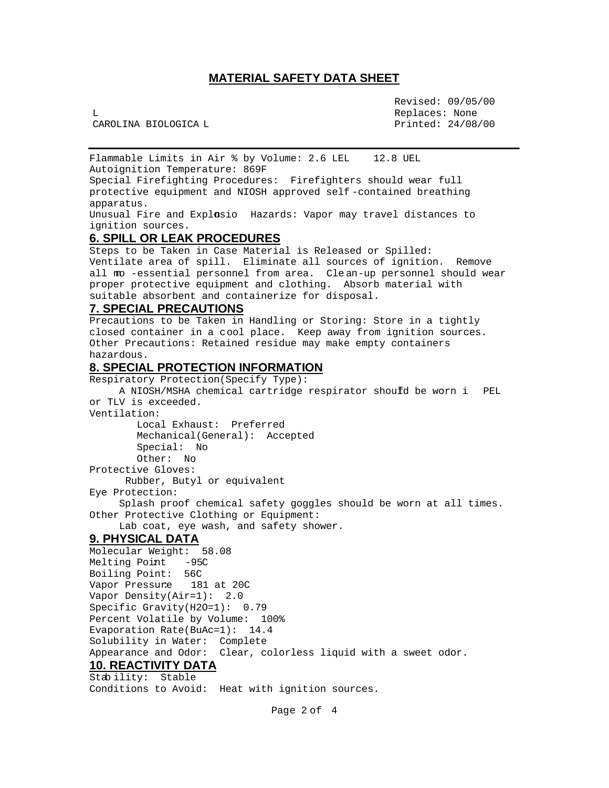Revised: 09/05/00 L Replaces: None CAROLINA BIOLOGICA L Printed: 24/08/00

Flammable Limits in Air % by Volume: 2.6 LEL 12.8 UEL Autoignition Temperature: 869F

Special Firefighting Procedures: Firefighters should wear full protective equipment and NIOSH approved self -contained breathing apparatus.

Unusual Fire and Explosio Hazards: Vapor may travel distances to ignition sources.

### **6. SPILL OR LEAK PROCEDURES**

Steps to be Taken in Case Material is Released or Spilled: Ventilate area of spill. Eliminate all sources of ignition. Remove all mo -essential personnel from area. Cle an-up personnel should wear proper protective equipment and clothing. Absorb material with suitable absorbent and containerize for disposal.

#### **7. SPECIAL PRECAUTIONS**

Precautions to be Taken in Handling or Storing: Store in a tightly closed container in a cool place. Keep away from ignition sources. Other Precautions: Retained residue may make empty containers hazardous.

#### **8. SPECIAL PROTECTION INFORMATION**

Respiratory Protection(Specify Type):

A NIOSH/MSHA chemical cartridge respirator should be worn i PEL or TLV is exceeded.

Ventilation:

 Local Exhaust: Preferred Mechanical(General): Accepted Special: No Other: No

Protective Gloves:

Rubber, Butyl or equivalent

Eye Protection:

 Splash proof chemical safety goggles should be worn at all times. Other Protective Clothing or Equipment:

Lab coat, eye wash, and safety shower.

## **9. PHYSICAL DATA**

```
Molecular Weight: 58.08
Melting Point -95C
Boiling Point: 56C
Vapor Pressure 181 at 20C
Vapor Density(Air=1): 2.0
Specific Gravity(H2O=1): 0.79
Percent Volatile by Volume: 100%
Evaporation Rate(BuAc=1): 14.4
Solubility in Water: Complete
Appearance and Odor: Clear, colorless liquid with a sweet odor.
```
#### **10. REACTIVITY DATA** Stab ility: Stable

Conditions to Avoid: Heat with ignition sources.

Page 2 of 4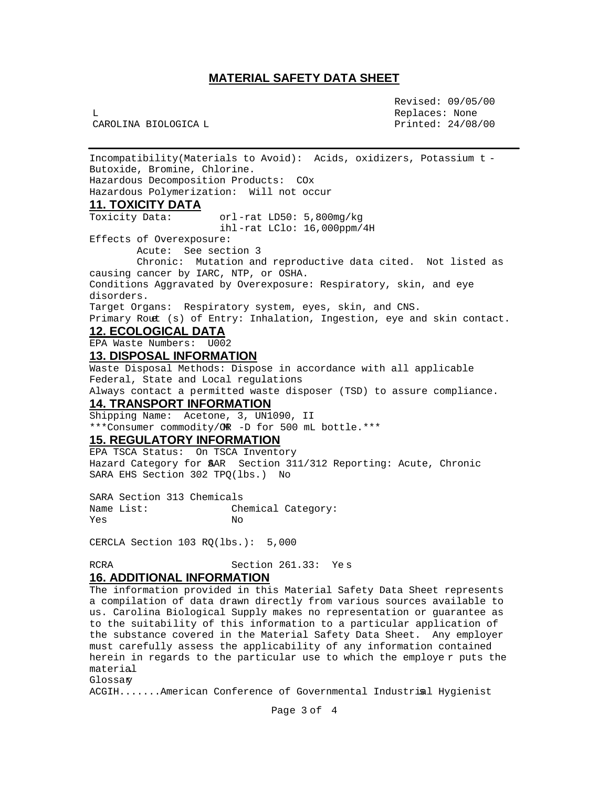Revised: 09/05/00 L Replaces: None CAROLINA BIOLOGICA L Printed: 24/08/00

Incompatibility(Materials to Avoid): Acids, oxidizers, Potassium t - Butoxide, Bromine, Chlorine. Hazardous Decomposition Products: COx Hazardous Polymerization: Will not occur **11. TOXICITY DATA** Toxicity Data: orl-rat LD50: 5,800mg/kg ihl-rat LClo: 16,000ppm/4H Effects of Overexposure: Acute: See section 3 Chronic: Mutation and reproductive data cited. Not listed as causing cancer by IARC, NTP, or OSHA. Conditions Aggravated by Overexposure: Respiratory, skin, and eye disorders. Target Organs: Respiratory system, eyes, skin, and CNS. Primary Rout (s) of Entry: Inhalation, Ingestion, eye and skin contact. **12. ECOLOGICAL DATA** EPA Waste Numbers: U002 **13. DISPOSAL INFORMATION** Waste Disposal Methods: Dispose in accordance with all applicable Federal, State and Local regulations Always contact a permitted waste disposer (TSD) to assure compliance. **14. TRANSPORT INFORMATION** Shipping Name: Acetone, 3, UN1090, II \*\*\*Consumer commodity/OR -D for 500 mL bottle.\*\*\* **15. REGULATORY INFORMATION** EPA TSCA Status: On TSCA Inventory Hazard Category for SAR Section 311/312 Reporting: Acute, Chronic SARA EHS Section 302 TPQ(lbs.) No SARA Section 313 Chemicals Name List: Chemical Category: Yes No CERCLA Section 103 RQ(lbs.): 5,000 RCRA Section 261.33: Yes **16. ADDITIONAL INFORMATION** The information provided in this Material Safety Data Sheet represents a compilation of data drawn directly from various sources available to us. Carolina Biological Supply makes no representation or guarantee as to the suitability of this information to a particular application of

the substance covered in the Material Safety Data Sheet. Any employer must carefully assess the applicability of any information contained herein in regards to the particular use to which the employe r puts the material.

Glossary

ACGIH.......American Conference of Governmental Industrial Hygienist